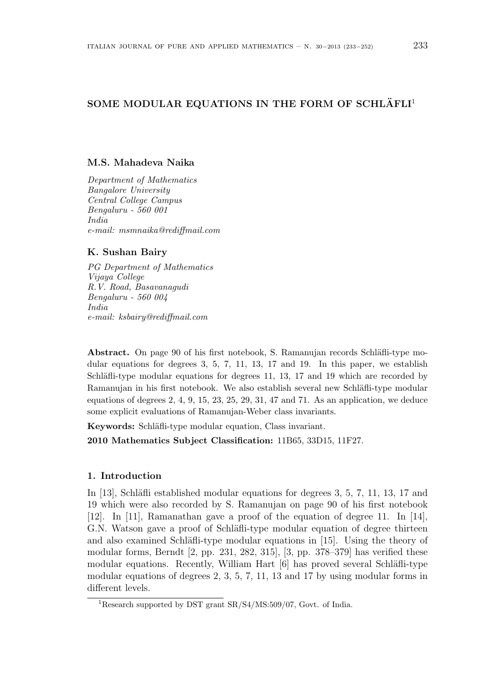# SOME MODULAR EQUATIONS IN THE FORM OF SCHLÄFLI<sup>1</sup>

## **M.S. Mahadeva Naika**

*Department of Mathematics Bangalore University Central College Campus Bengaluru - 560 001 India e-mail: msmnaika@rediffmail.com*

# **K. Sushan Bairy**

*PG Department of Mathematics Vijaya College R.V. Road, Basavanagudi Bengaluru - 560 004 India e-mail: ksbairy@rediffmail.com*

**Abstract.** On page 90 of his first notebook, S. Ramanujan records Schläfli-type modular equations for degrees 3, 5, 7, 11, 13, 17 and 19. In this paper, we establish Schläfli-type modular equations for degrees 11, 13, 17 and 19 which are recorded by Ramanujan in his first notebook. We also establish several new Schläfli-type modular equations of degrees 2, 4, 9, 15, 23, 25, 29, 31, 47 and 71. As an application, we deduce some explicit evaluations of Ramanujan-Weber class invariants.

**Keywords:** Schläfli-type modular equation, Class invariant.

**2010 Mathematics Subject Classification:** 11B65, 33D15, 11F27.

# **1. Introduction**

In [13], Schläfli established modular equations for degrees 3, 5, 7, 11, 13, 17 and 19 which were also recorded by S. Ramanujan on page 90 of his first notebook [12]. In [11], Ramanathan gave a proof of the equation of degree 11. In [14], G.N. Watson gave a proof of Schläfli-type modular equation of degree thirteen and also examined Schläfli-type modular equations in [15]. Using the theory of modular forms, Berndt [2, pp. 231, 282, 315], [3, pp. 378–379] has verified these modular equations. Recently, William Hart [6] has proved several Schläfli-type modular equations of degrees 2, 3, 5, 7, 11, 13 and 17 by using modular forms in different levels.

<sup>1</sup>Research supported by DST grant SR/S4/MS:509/07, Govt. of India.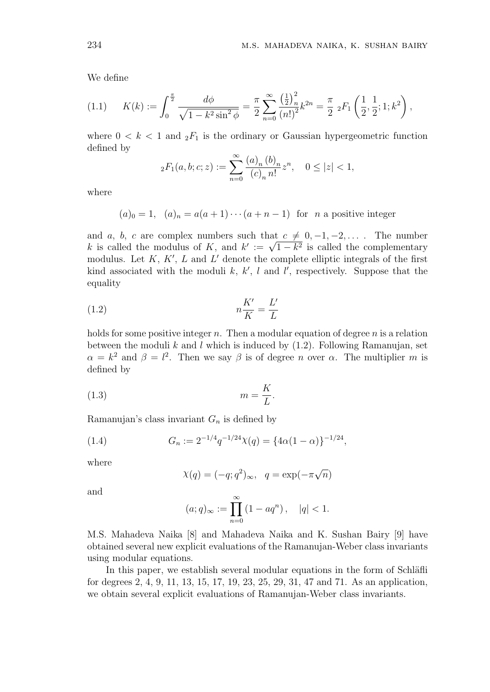We define

$$
(1.1) \qquad K(k) := \int_0^{\frac{\pi}{2}} \frac{d\phi}{\sqrt{1 - k^2 \sin^2 \phi}} = \frac{\pi}{2} \sum_{n=0}^{\infty} \frac{\left(\frac{1}{2}\right)_n^2}{(n!)^2} k^{2n} = \frac{\pi}{2} \, _2F_1\left(\frac{1}{2}, \frac{1}{2}; 1; k^2\right),
$$

where  $0 < k < 1$  and  ${}_2F_1$  is the ordinary or Gaussian hypergeometric function defined by

$$
{}_2F_1(a,b;c;z) := \sum_{n=0}^{\infty} \frac{(a)_n (b)_n}{(c)_n n!} z^n, \quad 0 \le |z| < 1,
$$

where

 $(a)_0 = 1$ ,  $(a)_n = a(a+1) \cdots (a+n-1)$  for *n* a positive integer

and *a*, *b*, *c* are complex numbers such that  $c \neq 0, -1, -2, \ldots$ . The number and *a*, *b*, *c* are complex numbers such that  $c \neq 0, -1, -2, \ldots$ . The number<br>*k* is called the modulus of *K*, and  $k' := \sqrt{1 - k^2}$  is called the complementary modulus. Let *K*, *K′* , *L* and *L ′* denote the complete elliptic integrals of the first kind associated with the moduli  $k, k', l$  and  $l'$ , respectively. Suppose that the equality

$$
(1.2)\t\t\t n\frac{K'}{K} = \frac{L'}{L}
$$

holds for some positive integer *n*. Then a modular equation of degree *n* is a relation between the moduli *k* and *l* which is induced by (1.2). Following Ramanujan, set  $\alpha = k^2$  and  $\beta = l^2$ . Then we say  $\beta$  is of degree *n* over  $\alpha$ . The multiplier *m* is defined by

$$
(1.3) \t\t m = \frac{K}{L}.
$$

Ramanujan's class invariant *G<sup>n</sup>* is defined by

(1.4) 
$$
G_n := 2^{-1/4} q^{-1/24} \chi(q) = \{4\alpha(1-\alpha)\}^{-1/24},
$$

where

$$
\chi(q) = (-q; q^2)_{\infty}, \quad q = \exp(-\pi\sqrt{n})
$$

and

$$
(a;q)_{\infty} := \prod_{n=0}^{\infty} (1 - aq^n), \quad |q| < 1.
$$

M.S. Mahadeva Naika [8] and Mahadeva Naika and K. Sushan Bairy [9] have obtained several new explicit evaluations of the Ramanujan-Weber class invariants using modular equations.

In this paper, we establish several modular equations in the form of Schläfli for degrees 2, 4, 9, 11, 13, 15, 17, 19, 23, 25, 29, 31, 47 and 71. As an application, we obtain several explicit evaluations of Ramanujan-Weber class invariants.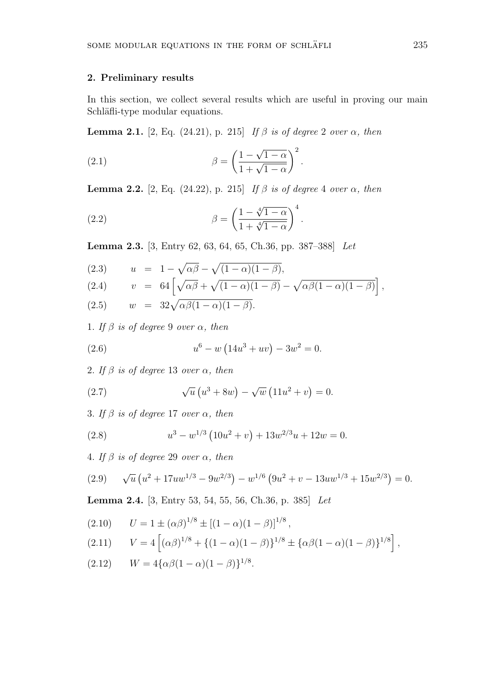#### **2. Preliminary results**

In this section, we collect several results which are useful in proving our main Schläfli-type modular equations.

**Lemma 2.1.** [2, Eq. (24.21), p. 215] *If*  $β$  *is of degree* 2 *over*  $α$ *, then* 

(2.1) 
$$
\beta = \left(\frac{1-\sqrt{1-\alpha}}{1+\sqrt{1-\alpha}}\right)^2.
$$

**Lemma 2.2.** [2, Eq. (24.22), p. 215] *If*  $\beta$  *is of degree* 4 *over*  $\alpha$ *, then* 

(2.2) 
$$
\beta = \left(\frac{1 - \sqrt[4]{1 - \alpha}}{1 + \sqrt[4]{1 - \alpha}}\right)^4.
$$

**Lemma 2.3.** [3, Entry 62, 63, 64, 65, Ch.36, pp. 387–388] *Let*

(2.3) 
$$
u = 1 - \sqrt{\alpha \beta} - \sqrt{(1 - \alpha)(1 - \beta)},
$$
  
\n(2.4)  $v = 64 \left[ \sqrt{\alpha \beta} + \sqrt{(1 - \alpha)(1 - \beta)} - \sqrt{\alpha \beta (1 - \alpha)(1 - \beta)} \right],$   
\n(2.5)  $w = 32 \sqrt{\alpha \beta (1 - \alpha)(1 - \beta)}.$ 

1*. If β is of degree* 9 *over α, then*

(2.6) 
$$
u^6 - w \left( 14u^3 + uv \right) - 3w^2 = 0.
$$

2*. If β is of degree* 13 *over α, then*

(2.7) 
$$
\sqrt{u} (u^3 + 8w) - \sqrt{w} (11u^2 + v) = 0.
$$

3*. If β is of degree* 17 *over α, then*

(2.8) 
$$
u^3 - w^{1/3} (10u^2 + v) + 13w^{2/3}u + 12w = 0.
$$

4*. If β is of degree* 29 *over α, then*

(2.9) 
$$
\sqrt{u} \left( u^2 + 17uw^{1/3} - 9w^{2/3} \right) - w^{1/6} \left( 9u^2 + v - 13uw^{1/3} + 15w^{2/3} \right) = 0.
$$

**Lemma 2.4.** [3, Entry 53, 54, 55, 56, Ch.36, p. 385] *Let*

(2.10) 
$$
U = 1 \pm (\alpha \beta)^{1/8} \pm [(1 - \alpha)(1 - \beta)]^{1/8},
$$
  
(2.11) 
$$
V = 4 [(\alpha \beta)^{1/8} + \{(1 - \alpha)(1 - \beta)\}^{1/8} \pm \{\alpha \beta (1 - \alpha)(1 - \beta)\}^{1/8}],
$$

$$
(2.12) \t W = 4\{\alpha\beta(1-\alpha)(1-\beta)\}^{1/8}.
$$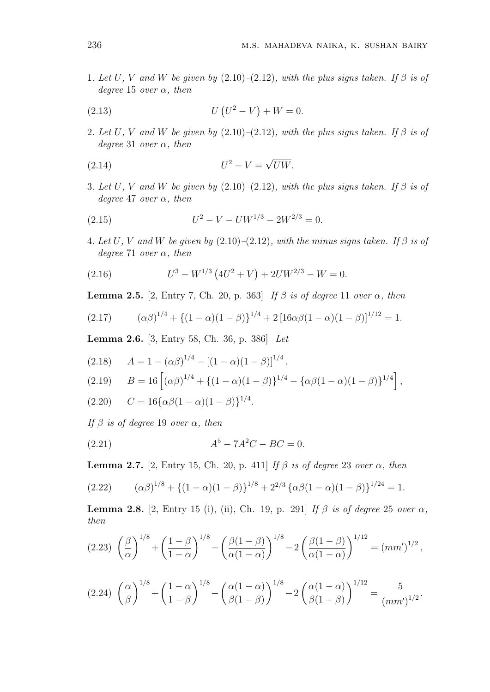1*. Let*  $U, V$  *and*  $W$  *be given by* (2.10)–(2.12)*, with the plus signs taken.* If  $\beta$  *is of degree* 15 *over α, then*

(2.13) 
$$
U(U^2 - V) + W = 0.
$$

2*. Let*  $U$ *,*  $V$  *and*  $W$  *be given by* (2.10)–(2.12)*, with the plus signs taken.* If  $\beta$  *is of degree* 31 *over α, then*

$$
(2.14) \t\t\t U^2 - V = \sqrt{UW}.
$$

3*. Let*  $U$ *,*  $V$  *and*  $W$  *be given by* (2.10)–(2.12)*, with the plus signs taken. If*  $\beta$  *is of degree* 47 *over α, then*

(2.15) 
$$
U^2 - V - UW^{1/3} - 2W^{2/3} = 0.
$$

4*. Let*  $U$ *,*  $V$  *and*  $W$  *be given by* (2.10)–(2.12)*, with the minus signs taken.* If  $\beta$  *is of degree* 71 *over α, then*

(2.16) 
$$
U^3 - W^{1/3} (4U^2 + V) + 2UW^{2/3} - W = 0.
$$

**Lemma 2.5.** [2, Entry 7, Ch. 20, p. 363] *If*  $\beta$  *is of degree* 11 *over*  $\alpha$ *, then* 

$$
(2.17) \qquad (\alpha\beta)^{1/4} + \left\{(1-\alpha)(1-\beta)\right\}^{1/4} + 2\left[16\alpha\beta(1-\alpha)(1-\beta)\right]^{1/12} = 1.
$$

**Lemma 2.6.** [3, Entry 58, Ch. 36, p. 386] *Let*

$$
(2.18) \tA = 1 - (\alpha \beta)^{1/4} - [(1 - \alpha)(1 - \beta)]^{1/4},
$$

$$
(2.19) \qquad B = 16 \left[ (\alpha \beta)^{1/4} + \{ (1 - \alpha)(1 - \beta) \}^{1/4} - \{ \alpha \beta (1 - \alpha)(1 - \beta) \}^{1/4} \right],
$$

 $C = 16\{\alpha\beta(1-\alpha)(1-\beta)\}^{1/4}.$ 

*If β is of degree* 19 *over α, then*

(2.21) 
$$
A^5 - 7A^2C - BC = 0.
$$

**Lemma 2.7.** [2, Entry 15, Ch. 20, p. 411] *If*  $\beta$  *is of degree* 23 *over*  $\alpha$ *, then* 

(2.22) 
$$
(\alpha \beta)^{1/8} + \{(1 - \alpha)(1 - \beta)\}^{1/8} + 2^{2/3} {\alpha \beta (1 - \alpha)(1 - \beta)}^{1/24} = 1.
$$

**Lemma 2.8.** [2, Entry 15 (i), (ii), Ch. 19, p. 291] *If*  $β$  *is of degree* 25 *over*  $α$ *, then*

$$
(2.23)\ \left(\frac{\beta}{\alpha}\right)^{1/8} + \left(\frac{1-\beta}{1-\alpha}\right)^{1/8} - \left(\frac{\beta(1-\beta)}{\alpha(1-\alpha)}\right)^{1/8} - 2\left(\frac{\beta(1-\beta)}{\alpha(1-\alpha)}\right)^{1/12} = (mm')^{1/2}\,,
$$

$$
(2.24)\ \left(\frac{\alpha}{\beta}\right)^{1/8} + \left(\frac{1-\alpha}{1-\beta}\right)^{1/8} - \left(\frac{\alpha(1-\alpha)}{\beta(1-\beta)}\right)^{1/8} - 2\left(\frac{\alpha(1-\alpha)}{\beta(1-\beta)}\right)^{1/12} = \frac{5}{(mm')^{1/2}}.
$$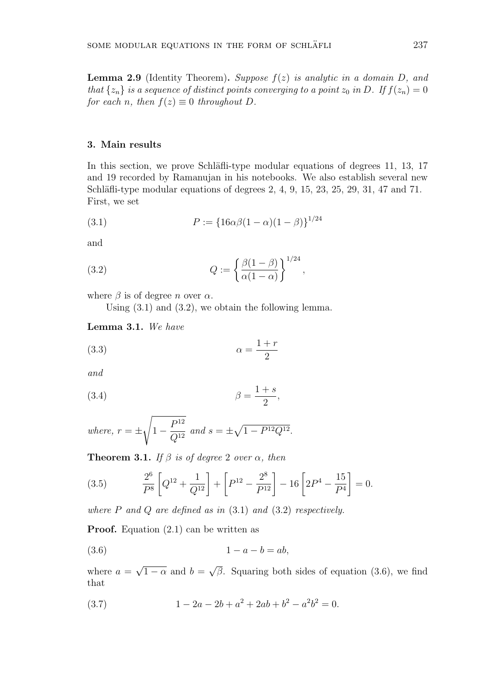**Lemma 2.9** (Identity Theorem)**.** *Suppose f*(*z*) *is analytic in a domain D, and that*  $\{z_n\}$  *is a sequence of distinct points converging to a point*  $z_0$  *in*  $D$ *. If*  $f(z_n) = 0$ *for each n*, *then*  $f(z) \equiv 0$  *throughout D*.

#### **3. Main results**

In this section, we prove Schläfli-type modular equations of degrees 11, 13, 17 and 19 recorded by Ramanujan in his notebooks. We also establish several new Schläfli-type modular equations of degrees  $2, 4, 9, 15, 23, 25, 29, 31, 47, 21$ . First, we set

(3.1) 
$$
P := \{16\alpha\beta(1-\alpha)(1-\beta)\}^{1/24}
$$

and

(3.2) 
$$
Q := \left\{ \frac{\beta(1-\beta)}{\alpha(1-\alpha)} \right\}^{1/24},
$$

where  $\beta$  is of degree *n* over  $\alpha$ .

Using (3.1) and (3.2), we obtain the following lemma.

**Lemma 3.1.** *We have*

$$
\alpha = \frac{1+r}{2}
$$

*and*

$$
\beta = \frac{1+s}{2},
$$

where, 
$$
r = \pm \sqrt{1 - \frac{P^{12}}{Q^{12}}}
$$
 and  $s = \pm \sqrt{1 - P^{12}Q^{12}}$ .

**Theorem 3.1.** *If*  $\beta$  *is of degree* 2 *over*  $\alpha$ *, then* 

(3.5) 
$$
\frac{2^6}{P^8} \left[ Q^{12} + \frac{1}{Q^{12}} \right] + \left[ P^{12} - \frac{2^8}{P^{12}} \right] - 16 \left[ 2P^4 - \frac{15}{P^4} \right] = 0.
$$

*where P and Q are defined as in* (3.1) *and* (3.2) *respectively.*

**Proof.** Equation (2.1) can be written as

$$
(3.6) \t\t\t 1-a-b=ab,
$$

where  $a =$ *√*  $1 - \alpha$  and *b* = *√ β*. Squaring both sides of equation (3.6), we find that

(3.7) 
$$
1 - 2a - 2b + a^2 + 2ab + b^2 - a^2b^2 = 0.
$$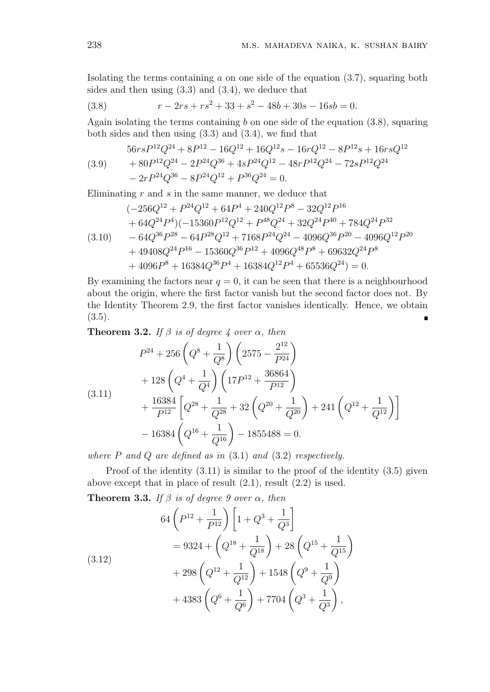Isolating the terms containing *a* on one side of the equation (3.7), squaring both sides and then using  $(3.3)$  and  $(3.4)$ , we deduce that

(3.8) 
$$
r - 2rs + rs^2 + 33 + s^2 - 48b + 30s - 16sb = 0.
$$

Again isolating the terms containing *b* on one side of the equation (3.8), squaring both sides and then using (3.3) and (3.4), we find that

$$
(3.9) \qquad \begin{aligned} 56rsP^{12}Q^{24} + 8P^{12} - 16Q^{12} + 16Q^{12}s - 16rQ^{12} - 8P^{12}s + 16rsQ^{12} \\ + 80P^{12}Q^{24} - 2P^{24}Q^{36} + 4sP^{24}Q^{12} - 48rP^{12}Q^{24} - 72sP^{12}Q^{24} \\ - 2rP^{24}Q^{36} - 8P^{24}Q^{12} + P^{36}Q^{24} = 0. \end{aligned}
$$

Eliminating *r* and *s* in the same manner, we deduce that

$$
(-256Q^{12} + P^{24}Q^{12} + 64P^4 + 240Q^{12}P^8 - 32Q^{12}P^{16}
$$
  
+ 64Q^{24}P^4)(-15360P^{12}Q^{12} + P^{48}Q^{24} + 32Q^{24}P^{40} + 784Q^{24}P^{32}  
- 64Q^{36}P^{28} - 64P^{28}Q^{12} + 7168P^{24}Q^{24} - 4096Q^{36}P^{20} - 4096Q^{12}P^{20}  
+ 49408Q^{24}P^{16} - 15360Q^{36}P^{12} + 4096Q^{48}P^8 + 69632Q^{24}P^8  
+ 4096P^8 + 16384Q^{36}P^4 + 16384Q^{12}P^4 + 65536Q^{24}) = 0.

By examining the factors near  $q = 0$ , it can be seen that there is a neighbourhood about the origin, where the first factor vanish but the second factor does not. By the Identity Theorem 2.9, the first factor vanishes identically. Hence, we obtain  $(3.5).$ 

**Theorem 3.2.** *If*  $\beta$  *is of degree 4 over*  $\alpha$ *, then* 

$$
P^{24} + 256\left(Q^8 + \frac{1}{Q^8}\right)\left(2575 - \frac{2^{12}}{P^{24}}\right)
$$
  
+ 128\left(Q^4 + \frac{1}{Q^4}\right)\left(17P^{12} + \frac{36864}{P^{12}}\right)  
+ \frac{16384}{P^{12}}\left[Q^{28} + \frac{1}{Q^{28}} + 32\left(Q^{20} + \frac{1}{Q^{20}}\right) + 241\left(Q^{12} + \frac{1}{Q^{12}}\right)\right]  
- 16384\left(Q^{16} + \frac{1}{Q^{16}}\right) - 1855488 = 0.

*where P and Q are defined as in* (3.1) *and* (3.2) *respectively.*

Proof of the identity  $(3.11)$  is similar to the proof of the identity  $(3.5)$  given above except that in place of result (2.1), result (2.2) is used.

**Theorem 3.3.** *If*  $\beta$  *is of degree 9 over*  $\alpha$ *, then* 

(3.12)  
\n
$$
64\left(P^{12} + \frac{1}{P^{12}}\right)\left[1 + Q^3 + \frac{1}{Q^3}\right]
$$
\n
$$
= 9324 + \left(Q^{18} + \frac{1}{Q^{18}}\right) + 28\left(Q^{15} + \frac{1}{Q^{15}}\right)
$$
\n
$$
+ 298\left(Q^{12} + \frac{1}{Q^{12}}\right) + 1548\left(Q^9 + \frac{1}{Q^9}\right)
$$
\n
$$
+ 4383\left(Q^6 + \frac{1}{Q^6}\right) + 7704\left(Q^3 + \frac{1}{Q^3}\right),
$$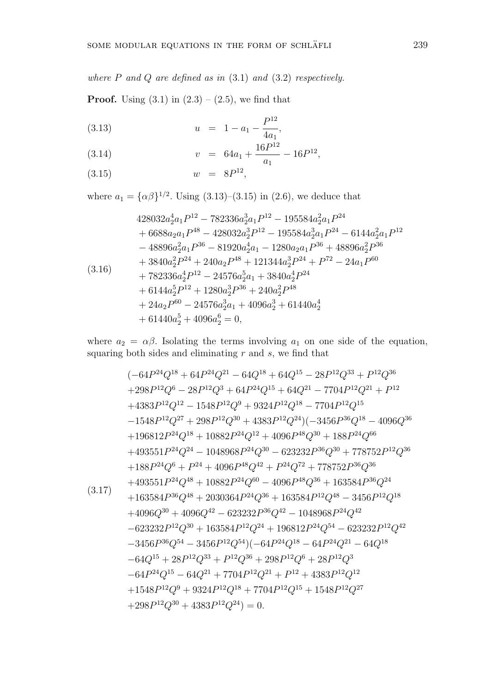*where P and Q are defined as in* (3.1) *and* (3.2) *respectively.*

**Proof.** Using  $(3.1)$  in  $(2.3) - (2.5)$ , we find that

(3.13) 
$$
u = 1 - a_1 - \frac{P^{12}}{4a_1},
$$

(3.14) 
$$
v = 64a_1 + \frac{16P^{12}}{a_1} - 16P^{12},
$$

$$
w = 8P^{12},
$$

$$
(3.15) \t\t w = 8P^{12},
$$

where  $a_1 = {\alpha \beta}^{1/2}$ . Using (3.13)–(3.15) in (2.6), we deduce that

$$
428032a_2^4a_1P^{12} - 782336a_2^3a_1P^{12} - 195584a_2^2a_1P^{24}
$$
  
+ 6688a\_2a\_1P^{48} - 428032a\_2^3P^{12} - 195584a\_2^3a\_1P^{24} - 6144a\_2^2a\_1P^{12}  
- 48896a\_2^2a\_1P^{36} - 81920a\_2^4a\_1 - 1280a\_2a\_1P^{36} + 48896a\_2^2P^{36}  
+ 3840a\_2^2P^{24} + 240a\_2P^{48} + 121344a\_2^3P^{24} + P^{72} - 24a\_1P^{60}  
+ 782336a\_2^4P^{12} - 24576a\_2^5a\_1 + 3840a\_2^4P^{24}  
+ 6144a\_2^5P^{12} + 1280a\_2^3P^{36} + 240a\_2^2P^{48}  
+ 24a\_2P^{60} - 24576a\_2^3a\_1 + 4096a\_2^3 + 61440a\_2^4  
+ 61440a\_2^5 + 4096a\_2^6 = 0,

where  $a_2 = \alpha \beta$ . Isolating the terms involving  $a_1$  on one side of the equation, squaring both sides and eliminating *r* and *s*, we find that

$$
(-64P^{24}Q^{18} + 64P^{24}Q^{21} - 64Q^{18} + 64Q^{15} - 28P^{12}Q^{33} + P^{12}Q^{36}
$$
  
\n
$$
+298P^{12}Q^{6} - 28P^{12}Q^{3} + 64P^{24}Q^{15} + 64Q^{21} - 7704P^{12}Q^{21} + P^{12}
$$
  
\n
$$
+4383P^{12}Q^{12} - 1548P^{12}Q^{9} + 9324P^{12}Q^{18} - 7704P^{12}Q^{15}
$$
  
\n
$$
-1548P^{12}Q^{27} + 298P^{12}Q^{30} + 4383P^{12}Q^{24})(-3456P^{36}Q^{18} - 4096Q^{36}
$$
  
\n
$$
+196812P^{24}Q^{18} + 10882P^{24}Q^{12} + 4096P^{48}Q^{30} + 188P^{24}Q^{66}
$$
  
\n
$$
+493551P^{24}Q^{24} - 1048968P^{24}Q^{30} - 623232P^{36}Q^{30} + 778752P^{12}Q^{36}
$$
  
\n
$$
+188P^{24}Q^{6} + P^{24} + 4096P^{48}Q^{42} + P^{24}Q^{72} + 778752P^{36}Q^{36}
$$
  
\n
$$
+493551P^{24}Q^{48} + 10882P^{24}Q^{60} - 4096P^{48}Q^{36} + 163584P^{36}Q^{24}
$$
  
\n
$$
+163584P^{36}Q^{48} + 2030364P^{24}Q^{36} + 163584P^{12}Q^{48} - 3456P^{12}Q^{18}
$$
  
\n
$$
+4096Q^{30} + 4096Q^{42} - 623232P^{36}Q^{42} - 10489
$$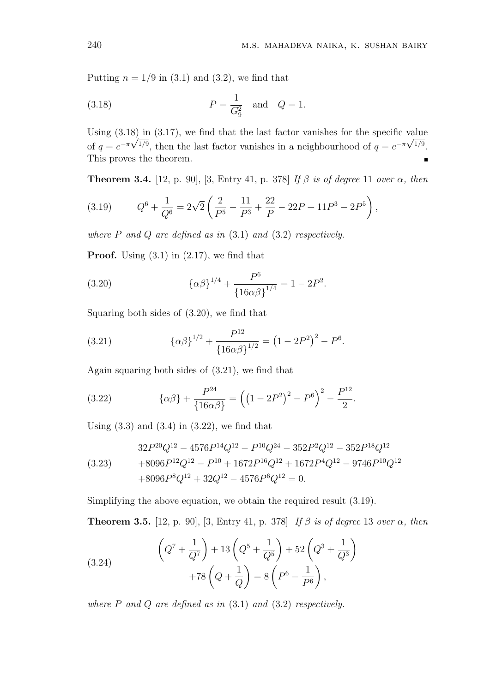Putting  $n = 1/9$  in (3.1) and (3.2), we find that

(3.18) 
$$
P = \frac{1}{G_9^2}
$$
 and  $Q = 1$ .

Using  $(3.18)$  in  $(3.17)$ , we find that the last factor vanishes for the specific value of  $q = e^{-\pi \sqrt{1/9}}$ , then the last factor vanishes in a neighbourhood of  $q = e^{-\pi \sqrt{1/9}}$ . This proves the theorem.

**Theorem 3.4.** [12, p. 90], [3, Entry 41, p. 378] *If β is of degree* 11 *over α, then*

(3.19) 
$$
Q^6 + \frac{1}{Q^6} = 2\sqrt{2}\left(\frac{2}{P^5} - \frac{11}{P^3} + \frac{22}{P} - 22P + 11P^3 - 2P^5\right),
$$

*where P and Q are defined as in* (3.1) *and* (3.2) *respectively.*

**Proof.** Using  $(3.1)$  in  $(2.17)$ , we find that

(3.20) 
$$
{\lbrace \alpha \beta \rbrace}^{1/4} + \frac{P^6}{{\lbrace 16\alpha \beta \rbrace}^{1/4}} = 1 - 2P^2.
$$

Squaring both sides of (3.20), we find that

(3.21) 
$$
\{\alpha\beta\}^{1/2} + \frac{P^{12}}{\{16\alpha\beta\}^{1/2}} = (1 - 2P^2)^2 - P^6.
$$

Again squaring both sides of (3.21), we find that

(3.22) 
$$
\{\alpha\beta\} + \frac{P^{24}}{\{16\alpha\beta\}} = \left(\left(1 - 2P^2\right)^2 - P^6\right)^2 - \frac{P^{12}}{2}.
$$

Using  $(3.3)$  and  $(3.4)$  in  $(3.22)$ , we find that

$$
32P^{20}Q^{12} - 4576P^{14}Q^{12} - P^{10}Q^{24} - 352P^2Q^{12} - 352P^{18}Q^{12}
$$
  
(3.23) 
$$
+8096P^{12}Q^{12} - P^{10} + 1672P^{16}Q^{12} + 1672P^4Q^{12} - 9746P^{10}Q^{12}
$$

$$
+8096P^8Q^{12} + 32Q^{12} - 4576P^6Q^{12} = 0.
$$

Simplifying the above equation, we obtain the required result (3.19).

**Theorem 3.5.** [12, p. 90], [3, Entry 41, p. 378] *If β is of degree* 13 *over α, then*

(3.24) 
$$
\left(Q^{7} + \frac{1}{Q^{7}}\right) + 13\left(Q^{5} + \frac{1}{Q^{5}}\right) + 52\left(Q^{3} + \frac{1}{Q^{3}}\right) + 78\left(Q + \frac{1}{Q}\right) = 8\left(P^{6} - \frac{1}{P^{6}}\right),
$$

*where P and Q are defined as in* (3.1) *and* (3.2) *respectively.*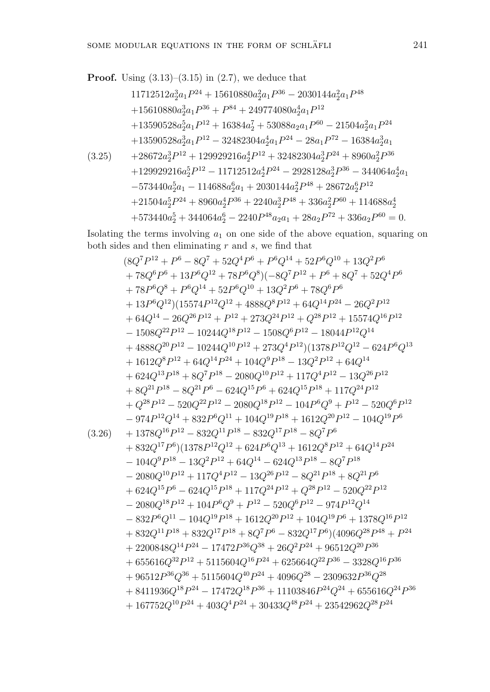Proof. Using (3.13)–(3.15) in (2.7), we deduce that  
\n
$$
11712512a_2^3a_1P^{24} + 15610880a_2^2a_1P^{36} - 2030144a_2^2a_1P^{48}
$$
\n
$$
+15610880a_2^3a_1P^{36} + P^{84} + 249774080a_2^4a_1P^{12}
$$
\n
$$
+13590528a_2^5a_1P^{12} + 16384a_2^7 + 53088a_2a_1P^{60} - 21504a_2^2a_1P^{24}
$$
\n
$$
+13590528a_2^3a_1P^{12} - 32482304a_2^4a_1P^{24} - 28a_1P^{72} - 16384a_2^3a_1
$$
\n(3.25) 
$$
+28672a_2^3P^{12} + 129929216a_2^4P^{12} + 32482304a_2^3P^{24} + 8960a_2^2P^{36}
$$
\n
$$
+129929216a_2^5P^{12} - 11712512a_2^4P^{24} - 2928128a_2^3P^{36} - 344064a_2^4a_1
$$
\n
$$
-573440a_2^5a_1 - 114688a_2^6a_1 + 2030144a_2^2P^{48} + 28672a_2^6P^{12}
$$
\n
$$
+21504a_2^5P^{24} + 8960a_2^4P^{36} + 2240a_2^3P^{48} + 336a_2^2P^{60} + 114688a_2^4
$$
\n
$$
+573440a_2^5 + 344064a_2^6 - 2240P^{48}a_2a_1 + 28a_2P^{72} + 336a_2P^{60} = 0.
$$

Isolating the terms involving *a*<sup>1</sup> on one side of the above equation, squaring on both sides and then eliminating *r* and *s*, we find that

$$
(8Q7P12 + P6 - 8Q7 + 52Q4P6 + P6Q14 + 52P6Q10 + 13Q2P6+ 78Q6P6 + 13P6Q12 + 78P6Q8) (-8Q7P12 + P6 + 8Q7 + 52Q4P6+ 78P6Q8 + P6Q14 + 52P6Q10 + 13Q2P6 + 78Q6P6+ 13P6Q12)(15574P12Q12 + 4888Q8P12 + 64Q14P24 - 26Q2P12+ 64Q14 - 26Q26P12 + P12 + 273Q24P12 + Q28P12 + 15574Q16P12- 1508Q22P12 - 10244Q16P12 - 1508Q6P12 - 18044P12Q14+ 4888Q20P12 - 10244Q10P12 + 273Q4P12)(1378P12Q12 - 624P6Q13+
$$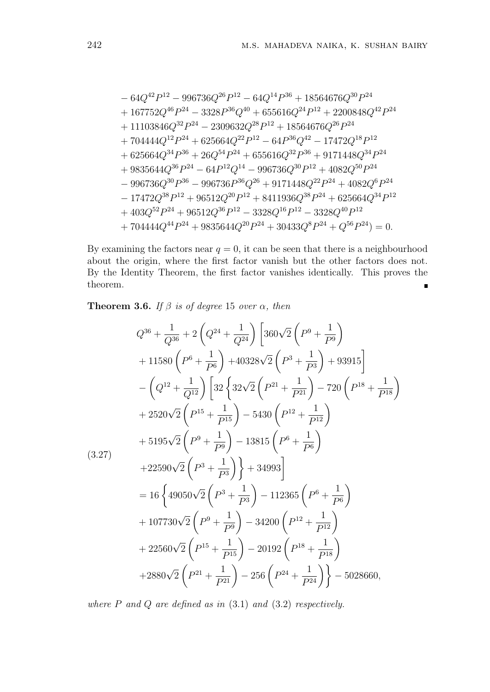$$
-64Q^{42}P^{12} - 996736Q^{26}P^{12} - 64Q^{14}P^{36} + 18564676Q^{30}P^{24}
$$
  
+ 167752Q<sup>46</sup>P<sup>24</sup> - 3328P<sup>36</sup>Q<sup>40</sup> + 655616Q<sup>24</sup>P<sup>12</sup> + 2200848Q<sup>42</sup>P<sup>24</sup>  
+ 11103846Q<sup>32</sup>P<sup>24</sup> - 2309632Q<sup>28</sup>P<sup>12</sup> + 18564676Q<sup>26</sup>P<sup>24</sup>  
+ 704444Q<sup>12</sup>P<sup>24</sup> + 625664Q<sup>22</sup>P<sup>12</sup> - 64P<sup>36</sup>Q<sup>42</sup> - 17472Q<sup>18</sup>P<sup>12</sup>  
+ 625664Q<sup>34</sup>P<sup>36</sup> + 26Q<sup>54</sup>P<sup>24</sup> + 655616Q<sup>32</sup>P<sup>36</sup> + 9171448Q<sup>34</sup>P<sup>24</sup>  
+ 9835644Q<sup>36</sup>P<sup>24</sup> - 64P<sup>12</sup>Q<sup>14</sup> - 996736Q<sup>30</sup>P<sup>12</sup> + 4082Q<sup>50</sup>P<sup>24</sup>  
- 996736Q<sup>30</sup>P<sup>36</sup> - 996736P<sup>36</sup>Q<sup>26</sup> + 9171448Q<sup>22</sup>P<sup>24</sup> + 4082Q<sup>6</sup>P<sup>24</sup>  
- 17472Q<sup>38</sup>P<sup>12</sup> + 96512Q<sup>20</sup>P<sup>12</sup> + 8411936Q<sup>38</sup>P<sup>24</sup> + 625664Q<sup>34</sup>P<sup>12</sup>  
+ 403Q<sup>52</sup>P

By examining the factors near  $q = 0$ , it can be seen that there is a neighbourhood about the origin, where the first factor vanish but the other factors does not. By the Identity Theorem, the first factor vanishes identically. This proves the theorem.  $\blacksquare$ 

**Theorem 3.6.** *If*  $\beta$  *is of degree* 15 *over*  $\alpha$ *, then* 

$$
Q^{36} + \frac{1}{Q^{36}} + 2\left(Q^{24} + \frac{1}{Q^{24}}\right)\left[360\sqrt{2}\left(P^9 + \frac{1}{P^9}\right) +11580\left(P^6 + \frac{1}{P^6}\right) +40328\sqrt{2}\left(P^3 + \frac{1}{P^3}\right) + 93915\right] - \left(Q^{12} + \frac{1}{Q^{12}}\right)\left[32\left\{32\sqrt{2}\left(P^{21} + \frac{1}{P^{21}}\right) - 720\left(P^{18} + \frac{1}{P^{18}}\right) +2520\sqrt{2}\left(P^{15} + \frac{1}{P^{15}}\right) -5430\left(P^{12} + \frac{1}{P^{12}}\right)\right] + 5195\sqrt{2}\left(P^9 + \frac{1}{P^9}\right) - 13815\left(P^6 + \frac{1}{P^6}\right) + 22590\sqrt{2}\left(P^3 + \frac{1}{P^3}\right) + 34993\right] = 16\left\{49050\sqrt{2}\left(P^3 + \frac{1}{P^3}\right) - 112365\left(P^6 + \frac{1}{P^6}\right) + 107730\sqrt{2}\left(P^9 + \frac{1}{P^9}\right) - 34200\left(P^{12} + \frac{1}{P^{12}}\right) + 22560\sqrt{2}\left(P^{15} + \frac{1}{P^{15}}\right) - 20192\left(P^{18} + \frac{1}{P^{18}}\right) + 2880\sqrt{2}\left(P^{21} + \frac{1}{P^{21}}\right) - 256\left(P^{24} + \frac{1}{P^{24}}\right)\right\} - 5028660,
$$

*where P and Q are defined as in* (3.1) *and* (3.2) *respectively.*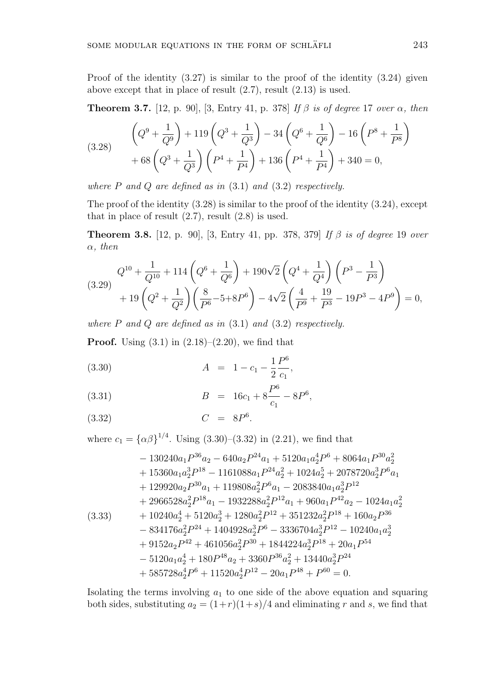Proof of the identity (3.27) is similar to the proof of the identity (3.24) given above except that in place of result (2.7), result (2.13) is used.

**Theorem 3.7.** [12, p. 90], [3, Entry 41, p. 378] *If β is of degree* 17 *over α, then*

$$
(3.28) \qquad \left(Q^9 + \frac{1}{Q^9}\right) + 119\left(Q^3 + \frac{1}{Q^3}\right) - 34\left(Q^6 + \frac{1}{Q^6}\right) - 16\left(P^8 + \frac{1}{P^8}\right) + 68\left(Q^3 + \frac{1}{Q^3}\right)\left(P^4 + \frac{1}{P^4}\right) + 136\left(P^4 + \frac{1}{P^4}\right) + 340 = 0,
$$

*where P and Q are defined as in* (3.1) *and* (3.2) *respectively.*

The proof of the identity (3.28) is similar to the proof of the identity (3.24), except that in place of result  $(2.7)$ , result  $(2.8)$  is used.

**Theorem 3.8.** [12, p. 90], [3, Entry 41, pp. 378, 379] *If β is of degree* 19 *over α, then*

$$
(3.29) \quad Q^{10} + \frac{1}{Q^{10}} + 114 \left( Q^6 + \frac{1}{Q^6} \right) + 190 \sqrt{2} \left( Q^4 + \frac{1}{Q^4} \right) \left( P^3 - \frac{1}{P^3} \right) + 19 \left( Q^2 + \frac{1}{Q^2} \right) \left( \frac{8}{P^6} - 5 + 8P^6 \right) - 4\sqrt{2} \left( \frac{4}{P^9} + \frac{19}{P^3} - 19P^3 - 4P^9 \right) = 0,
$$

*where P and Q are defined as in* (3.1) *and* (3.2) *respectively.*

**Proof.** Using  $(3.1)$  in  $(2.18)–(2.20)$ , we find that

(3.30) 
$$
A = 1 - c_1 - \frac{1}{2} \frac{P^6}{c_1},
$$

(3.31) 
$$
B = 16c_1 + 8\frac{P^6}{c_1} - 8P^6,
$$

$$
(3.32) \tC = 8P6.
$$

where  $c_1 = {\{\alpha \beta\}}^{1/4}$ . Using (3.30)–(3.32) in (2.21), we find that

$$
- 130240a_1P^{36}a_2 - 640a_2P^{24}a_1 + 5120a_1a_2^4P^6 + 8064a_1P^{30}a_2^2 + 15360a_1a_2^3P^{18} - 1161088a_1P^{24}a_2^2 + 1024a_2^5 + 2078720a_2^3P^6a_1 + 129920a_2P^{30}a_1 + 119808a_2^2P^6a_1 - 2083840a_1a_2^3P^{12} + 2966528a_2^2P^{18}a_1 - 1932288a_2^2P^{12}a_1 + 960a_1P^{42}a_2 - 1024a_1a_2^2 + 10240a_2^4 + 5120a_2^3 + 1280a_2^2P^{12} + 351232a_2^2P^{18} + 160a_2P^{36} - 834176a_2^2P^{24} + 1404928a_2^3P^6 - 3336704a_2^3P^{12} - 10240a_1a_2^3 + 9152a_2P^{42} + 461056a_2^2P^{30} + 1844224a_2^3P^{18} + 20a_1P^{54} - 5120a_1a_2^4 + 180P^{48}a_2 + 3360P^{36}a_2^2 + 13440a_2^3P^{24} + 585728a_2^4P^6 + 11520a_2^4P^{12} - 20a_1P^{48} + P^{60} = 0.
$$

Isolating the terms involving *a*<sup>1</sup> to one side of the above equation and squaring both sides, substituting  $a_2 = (1+r)(1+s)/4$  and eliminating *r* and *s*, we find that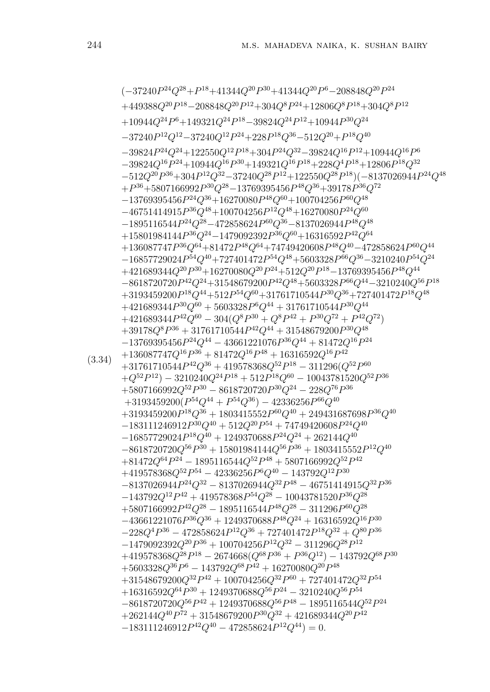(3.34) (*−*37240*P* <sup>24</sup>*Q*<sup>28</sup>+*P* <sup>18</sup>+41344*Q*<sup>20</sup>*P* <sup>30</sup>+41344*Q*<sup>20</sup>*P* <sup>6</sup>*−*208848*Q*<sup>20</sup>*P* 24  $+449388Q^{20}P^{18} - 208848Q^{20}P^{12} + 304Q^8P^{24} + 12806Q^8P^{18} + 304Q^8P^{12}$ +10944*Q*<sup>24</sup>*P* <sup>6</sup>+149321*Q*<sup>24</sup>*P* <sup>18</sup>*−*39824*Q*<sup>24</sup>*P* <sup>12</sup>+10944*P* <sup>30</sup>*Q*<sup>24</sup> *−*37240*P* <sup>12</sup>*Q*<sup>12</sup>*−*37240*Q*<sup>12</sup>*P* <sup>24</sup>+228*P* <sup>18</sup>*Q*<sup>36</sup>*−*512*Q*<sup>20</sup>+*P* <sup>18</sup>*Q*<sup>40</sup>  $-39824P^{24}Q^{24} + 122550Q^{12}P^{18} + 304P^{24}Q^{32} - 39824Q^{16}P^{12} + 10944Q^{16}P^{6}$  $-39824Q^{16}P^{24} + 10944Q^{16}P^{30} + 149321Q^{16}P^{18} + 228Q^4P^{18} + 12806P^{18}Q^{32}$ *−*512*Q*<sup>20</sup>*P* <sup>36</sup>+304*P* <sup>12</sup>*Q*<sup>32</sup>*−*37240*Q*<sup>28</sup>*P* <sup>12</sup>+122550*Q*<sup>28</sup>*P* <sup>18</sup>)(*−*8137026944*P* <sup>24</sup>*Q*<sup>48</sup> +*P* <sup>36</sup>+5807166992*P* <sup>30</sup>*Q*<sup>28</sup>*−*13769395456*P* <sup>48</sup>*Q*<sup>36</sup>+39178*P* <sup>36</sup>*Q*<sup>72</sup> *−*13769395456*P* <sup>24</sup>*Q*<sup>36</sup>+16270080*P* <sup>48</sup>*Q*<sup>60</sup>+100704256*P* <sup>60</sup>*Q*<sup>48</sup> *−*46751414915*P* <sup>36</sup>*Q*<sup>48</sup>+100704256*P* <sup>12</sup>*Q*<sup>48</sup>+16270080*P* <sup>24</sup>*Q*<sup>60</sup> *−*1895116544*P* <sup>24</sup>*Q*<sup>28</sup>*−*472858624*P* <sup>60</sup>*Q*<sup>36</sup>*−*8137026944*P* <sup>48</sup>*Q*<sup>48</sup> +15801984144*P* <sup>36</sup>*Q*<sup>24</sup>*−*1479092392*P* <sup>36</sup>*Q*<sup>60</sup>+16316592*P* <sup>42</sup>*Q*<sup>64</sup> +136087747*P* <sup>36</sup>*Q*<sup>64</sup>+81472*P* <sup>48</sup>*Q*<sup>64</sup>+74749420608*P* <sup>48</sup>*Q*<sup>40</sup>*−*472858624*P* <sup>60</sup>*Q*<sup>44</sup> *−*16857729024*P* <sup>54</sup>*Q*<sup>40</sup>+727401472*P* <sup>54</sup>*Q*<sup>48</sup>+5603328*P* <sup>66</sup>*Q*<sup>36</sup>*−*3210240*P* <sup>54</sup>*Q*<sup>24</sup>  $+421689344Q^{20}P^{30}+16270080Q^{20}P^{24}+512Q^{20}P^{18}-13769395456P^{48}Q^{44}$ *−*8618720720*P* <sup>42</sup>*Q*<sup>24</sup>+31548679200*P* <sup>42</sup>*Q*<sup>48</sup>+5603328*P* <sup>66</sup>*Q*<sup>44</sup>*−*3210240*Q*<sup>56</sup>*P* 18  $+3193459200P^{18}Q^{44}+512P^{54}Q^{60}+31761710544P^{30}Q^{36}+727401472P^{18}Q^{48}$  $+421689344P^{30}Q^{60} + 5603328P^6Q^{44} + 31761710544P^{30}Q^{44}$  $+421689344P^{42}Q^{60} - 304(Q^{8}P^{30} + Q^{8}P^{42} + P^{30}Q^{72} + P^{42}Q^{72})$  $+39178Q^{8}P^{36} + 31761710544P^{42}Q^{44} + 31548679200P^{30}Q^{48}$ *−*13769395456*P* <sup>24</sup>*Q*<sup>44</sup> *−* 43661221076*P* <sup>36</sup>*Q*<sup>44</sup> + 81472*Q*<sup>16</sup>*P* 24  $+136087747Q^{16}P^{36} + 81472Q^{16}P^{48} + 16316592Q^{16}P^{42}$  $+31761710544P^{42}Q^{36} + 419578368Q^{52}P^{18} - 311296(Q^{52}P^{60}$  $+Q^{52}P^{12}) -3210240Q^{24}P^{18} + 512P^{18}Q^{60} - 10043781520Q^{52}P^{36}$  $+5807166992Q^{52}P^{30} - 8618720720P^{30}Q^{24} - 228Q^{76}P^{36}$ +3193459200(*P* <sup>54</sup>*Q*<sup>44</sup> + *P* <sup>54</sup>*Q*<sup>36</sup>) *−* 42336256*P* <sup>66</sup>*Q*<sup>40</sup>  $+3193459200P^{18}Q^{36} + 1803415552P^{60}Q^{40} + 249431687698P^{36}Q^{40}$ *−*183111246912*P* <sup>30</sup>*Q*<sup>40</sup> + 512*Q*<sup>20</sup>*P* <sup>54</sup> + 74749420608*P* <sup>24</sup>*Q*<sup>40</sup>  $-16857729024P^{18}Q^{40} + 1249370688P^{24}Q^{24} + 262144Q^{40}$  $-8618720720Q^{56}P^{30} + 15801984144Q^{56}P^{36} + 1803415552P^{12}Q^{40}$  $+81472Q^{64}P^{24} - 1895116544Q^{52}P^{48} + 5807166992Q^{52}P^{42}$ +419578368*Q*<sup>52</sup>*P* <sup>54</sup> *−* 42336256*P* <sup>6</sup>*Q*<sup>40</sup> *−* 143792*Q*<sup>12</sup>*P* 30 *−*8137026944*P* <sup>24</sup>*Q*<sup>32</sup> *−* 8137026944*Q*<sup>32</sup>*P* <sup>48</sup> *−* 46751414915*Q*<sup>32</sup>*P* 36  $-143792Q^{12}P^{42} + 419578368P^{54}Q^{28} - 10043781520P^{36}Q^{28}$  $+5807166992P^{42}Q^{28} - 1895116544P^{48}Q^{28} - 311296P^{60}Q^{28}$  $-43661221076P^{36}Q^{36} + 1249370688P^{48}Q^{24} + 16316592Q^{16}P^{30}$  $-228Q^4P^{36} - 472858624P^{12}Q^{36} + 727401472P^{18}Q^{32} + Q^{80}P^{36}$  $-1479092392Q^{20}P^{36} + 100704256P^{12}Q^{32} - 311296Q^{28}P^{12}$  $+419578368Q^{28}P^{18} - 2674668(Q^{68}P^{36} + P^{36}Q^{12}) - 143792Q^{68}P^{30}$  $+5603328Q^{36}P^6 - 143792Q^{68}P^{42} + 16270080Q^{20}P^{48}$  $+31548679200Q^{32}P^{42} + 100704256Q^{32}P^{60} + 727401472Q^{32}P^{54}$  $+16316592Q^{64}P^{30} + 1249370688Q^{56}P^{24} - 3210240Q^{56}P^{54}$  $-8618720720Q^{56}P^{42} + 1249370688Q^{56}P^{48} - 1895116544Q^{52}P^{24}$  $+262144Q^{40}P^{72}+31548679200P^{30}Q^{32}+421689344Q^{20}P^{42}$  $-183111246912P^{42}Q^{40} - 472858624P^{12}Q^{44} = 0.$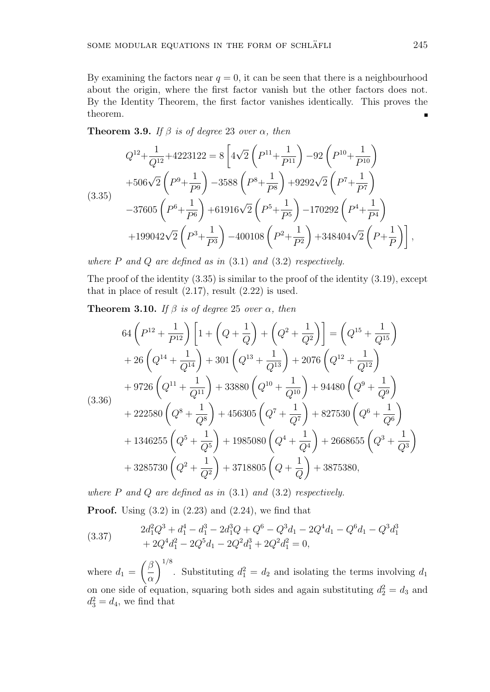**Theorem 3.9.** *If*  $\beta$  *is of degree* 23 *over*  $\alpha$ *, then* 

$$
Q^{12} + \frac{1}{Q^{12}} + 4223122 = 8\left[4\sqrt{2}\left(P^{11} + \frac{1}{P^{11}}\right) - 92\left(P^{10} + \frac{1}{P^{10}}\right)\right.+ 506\sqrt{2}\left(P^{9} + \frac{1}{P^{9}}\right) - 3588\left(P^{8} + \frac{1}{P^{8}}\right) + 9292\sqrt{2}\left(P^{7} + \frac{1}{P^{7}}\right)- 37605\left(P^{6} + \frac{1}{P^{6}}\right) + 61916\sqrt{2}\left(P^{5} + \frac{1}{P^{5}}\right) - 170292\left(P^{4} + \frac{1}{P^{4}}\right)+ 199042\sqrt{2}\left(P^{3} + \frac{1}{P^{3}}\right) - 400108\left(P^{2} + \frac{1}{P^{2}}\right) + 348404\sqrt{2}\left(P + \frac{1}{P}\right)\right],
$$

*where P and Q are defined as in* (3.1) *and* (3.2) *respectively.*

The proof of the identity (3.35) is similar to the proof of the identity (3.19), except that in place of result  $(2.17)$ , result  $(2.22)$  is used.

**Theorem 3.10.** *If*  $\beta$  *is of degree* 25 *over*  $\alpha$ *, then* 

$$
64\left(P^{12} + \frac{1}{P^{12}}\right)\left[1 + \left(Q + \frac{1}{Q}\right) + \left(Q^2 + \frac{1}{Q^2}\right)\right] = \left(Q^{15} + \frac{1}{Q^{15}}\right)
$$
  
+ 26\left(Q^{14} + \frac{1}{Q^{14}}\right) + 301\left(Q^{13} + \frac{1}{Q^{13}}\right) + 2076\left(Q^{12} + \frac{1}{Q^{12}}\right)  
+ 9726\left(Q^{11} + \frac{1}{Q^{11}}\right) + 33880\left(Q^{10} + \frac{1}{Q^{10}}\right) + 94480\left(Q^9 + \frac{1}{Q^9}\right)  
+ 222580\left(Q^8 + \frac{1}{Q^8}\right) + 456305\left(Q^7 + \frac{1}{Q^7}\right) + 827530\left(Q^6 + \frac{1}{Q^6}\right)  
+ 1346255\left(Q^5 + \frac{1}{Q^5}\right) + 1985080\left(Q^4 + \frac{1}{Q^4}\right) + 2668655\left(Q^3 + \frac{1}{Q^3}\right)  
+ 3285730\left(Q^2 + \frac{1}{Q^2}\right) + 3718805\left(Q + \frac{1}{Q}\right) + 3875380,

*where P and Q are defined as in* (3.1) *and* (3.2) *respectively.*

**Proof.** Using (3.2) in (2.23) and (2.24), we find that

(3.37) 
$$
2d_1^2Q^3 + d_1^4 - d_1^3 - 2d_1^3Q + Q^6 - Q^3d_1 - 2Q^4d_1 - Q^6d_1 - Q^3d_1^3
$$

$$
+ 2Q^4d_1^2 - 2Q^5d_1 - 2Q^2d_1^3 + 2Q^2d_1^2 = 0,
$$

where  $d_1 = \left(\frac{\beta}{\beta}\right)$ *α*  $\int_{0}^{1/8}$ . Substituting  $d_1^2 = d_2$  and isolating the terms involving  $d_1$ on one side of equation, squaring both sides and again substituting  $d_2^2 = d_3$  and  $d_3^2 = d_4$ , we find that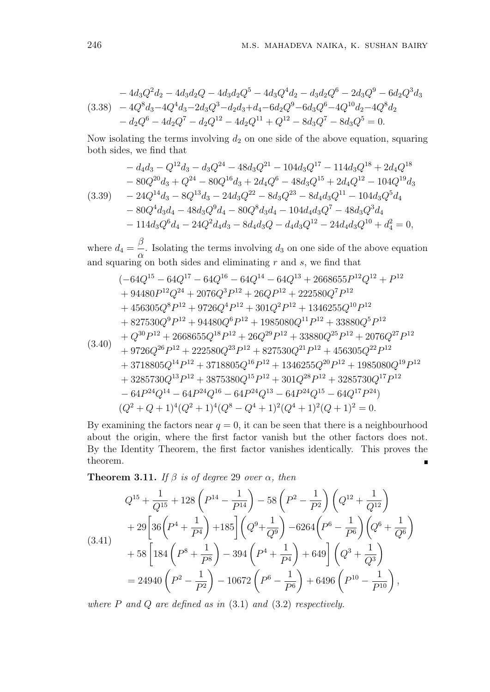$$
-4d_3Q^2d_2 - 4d_3d_2Q - 4d_3d_2Q^5 - 4d_3Q^4d_2 - d_3d_2Q^6 - 2d_3Q^9 - 6d_2Q^3d_3
$$
  
(3.38) 
$$
-4Q^8d_3 - 4Q^4d_3 - 2d_3Q^3 - d_2d_3 + d_4 - 6d_2Q^9 - 6d_3Q^6 - 4Q^{10}d_2 - 4Q^8d_2
$$

$$
- d_2Q^6 - 4d_2Q^7 - d_2Q^{12} - 4d_2Q^{11} + Q^{12} - 8d_3Q^7 - 8d_3Q^5 = 0.
$$

Now isolating the terms involving  $d_2$  on one side of the above equation, squaring both sides, we find that

$$
- d_4d_3 - Q^{12}d_3 - d_3Q^{24} - 48d_3Q^{21} - 104d_3Q^{17} - 114d_3Q^{18} + 2d_4Q^{18}
$$
  
\n
$$
- 80Q^{20}d_3 + Q^{24} - 80Q^{16}d_3 + 2d_4Q^6 - 48d_3Q^{15} + 2d_4Q^{12} - 104Q^{19}d_3
$$
  
\n(3.39) 
$$
- 24Q^{14}d_3 - 8Q^{13}d_3 - 24d_3Q^{22} - 8d_3Q^{23} - 8d_4d_3Q^{11} - 104d_3Q^5d_4
$$
  
\n
$$
- 80Q^4d_3d_4 - 48d_3Q^9d_4 - 80Q^8d_3d_4 - 104d_4d_3Q^7 - 48d_3Q^3d_4
$$
  
\n
$$
- 114d_3Q^6d_4 - 24Q^2d_4d_3 - 8d_4d_3Q - d_4d_3Q^{12} - 24d_4d_3Q^{10} + d_4^2 = 0,
$$

where  $d_4 =$ *β*  $\frac{\alpha}{\alpha}$ . Isolating the terms involving *d*<sub>3</sub> on one side of the above equation and squaring on both sides and eliminating *r* and *s*, we find that

$$
(-64Q^{15} - 64Q^{17} - 64Q^{16} - 64Q^{14} - 64Q^{13} + 2668655P^{12}Q^{12} + P^{12}
$$
  
+ 94480P<sup>12</sup>Q<sup>24</sup> + 2076Q<sup>3</sup>P<sup>12</sup> + 26QP<sup>12</sup> + 222580Q<sup>7</sup>P<sup>12</sup>  
+ 456305Q<sup>8</sup>P<sup>12</sup> + 9726Q<sup>4</sup>P<sup>12</sup> + 301Q<sup>2</sup>P<sup>12</sup> + 1346255Q<sup>10</sup>P<sup>12</sup>  
+ 827530Q<sup>9</sup>P<sup>12</sup> + 94480Q<sup>6</sup>P<sup>12</sup> + 1985080Q<sup>11</sup>P<sup>12</sup> + 33880Q<sup>5</sup>P<sup>12</sup>  
+ Q<sup>30</sup>P<sup>12</sup> + 2668655Q<sup>18</sup>P<sup>12</sup> + 26Q<sup>29</sup>P<sup>12</sup> + 33880Q<sup>25</sup>P<sup>12</sup> + 2076Q<sup>27</sup>P<sup>12</sup>  
+ 9726Q<sup>26</sup>P<sup>12</sup> + 222580Q<sup>23</sup>P<sup>12</sup> + 827530Q<sup>21</sup>P<sup>12</sup> + 456305Q<sup>22</sup>P<sup>12</sup>  
+ 3718805Q<sup>14</sup>P<sup>12</sup> + 3718805Q<sup>16</sup>P<sup>12</sup> + 1346255Q<sup>20</sup>P<sup>12</sup> + 1985080Q<sup>19</sup>P<sup>12</sup>  
+ 3285730Q<sup>13</sup>P<sup>12</sup> + 3875380Q<sup>15</sup>P<sup>12</sup> + 301Q<sup>28</sup>P<sup>12</sup> + 3285730Q<sup>17</sup>P<

By examining the factors near  $q = 0$ , it can be seen that there is a neighbourhood about the origin, where the first factor vanish but the other factors does not. By the Identity Theorem, the first factor vanishes identically. This proves the theorem.  $\blacksquare$ 

**Theorem 3.11.** *If*  $\beta$  *is of degree* 29 *over*  $\alpha$ *, then* 

$$
Q^{15} + \frac{1}{Q^{15}} + 128\left(P^{14} - \frac{1}{P^{14}}\right) - 58\left(P^2 - \frac{1}{P^2}\right)\left(Q^{12} + \frac{1}{Q^{12}}\right)
$$
  
+ 29\left[36\left(P^4 + \frac{1}{P^4}\right) + 185\right]\left(Q^9 + \frac{1}{Q^9}\right) - 6264\left(P^6 - \frac{1}{P^6}\right)\left(Q^6 + \frac{1}{Q^6}\right)  
+ 58\left[184\left(P^8 + \frac{1}{P^8}\right) - 394\left(P^4 + \frac{1}{P^4}\right) + 649\right]\left(Q^3 + \frac{1}{Q^3}\right)  
= 24940\left(P^2 - \frac{1}{P^2}\right) - 10672\left(P^6 - \frac{1}{P^6}\right) + 6496\left(P^{10} - \frac{1}{P^{10}}\right),

*where P and Q are defined as in* (3.1) *and* (3.2) *respectively.*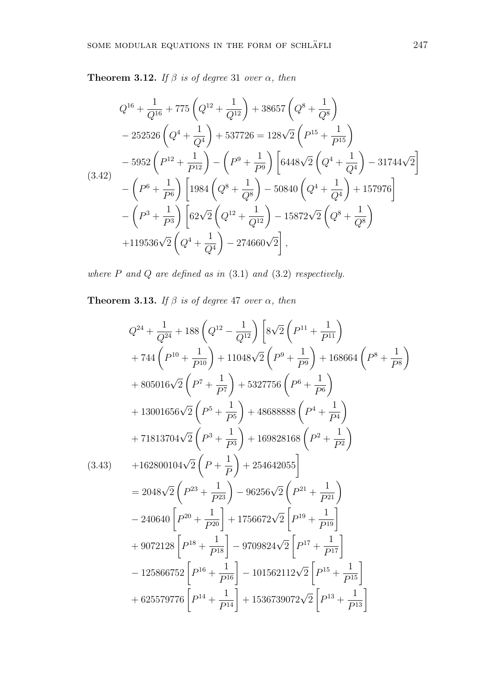**Theorem 3.12.** *If*  $\beta$  *is of degree* 31 *over*  $\alpha$ *, then* 

$$
Q^{16} + \frac{1}{Q^{16}} + 775 \left( Q^{12} + \frac{1}{Q^{12}} \right) + 38657 \left( Q^8 + \frac{1}{Q^8} \right)
$$
  
\n
$$
- 252526 \left( Q^4 + \frac{1}{Q^4} \right) + 537726 = 128\sqrt{2} \left( P^{15} + \frac{1}{P^{15}} \right)
$$
  
\n
$$
- 5952 \left( P^{12} + \frac{1}{P^{12}} \right) - \left( P^9 + \frac{1}{P^9} \right) \left[ 6448\sqrt{2} \left( Q^4 + \frac{1}{Q^4} \right) - 31744\sqrt{2} \right]
$$
  
\n(3.42)  
\n
$$
- \left( P^6 + \frac{1}{P^6} \right) \left[ 1984 \left( Q^8 + \frac{1}{Q^8} \right) - 50840 \left( Q^4 + \frac{1}{Q^4} \right) + 157976 \right]
$$
  
\n
$$
- \left( P^3 + \frac{1}{P^3} \right) \left[ 62\sqrt{2} \left( Q^{12} + \frac{1}{Q^{12}} \right) - 15872\sqrt{2} \left( Q^8 + \frac{1}{Q^8} \right) \right]
$$
  
\n
$$
+ 119536\sqrt{2} \left( Q^4 + \frac{1}{Q^4} \right) - 274660\sqrt{2} \right],
$$

*where P and Q are defined as in* (3.1) *and* (3.2) *respectively.*

**Theorem 3.13.** *If*  $\beta$  *is of degree* 47 *over*  $\alpha$ *, then* 

$$
Q^{24} + \frac{1}{Q^{24}} + 188 \left(Q^{12} - \frac{1}{Q^{12}}\right) \left[8\sqrt{2}\left(P^{11} + \frac{1}{P^{11}}\right) + 744 \left(P^{10} + \frac{1}{P^{10}}\right) + 11048\sqrt{2}\left(P^9 + \frac{1}{P^9}\right) + 168664 \left(P^8 + \frac{1}{P^8}\right) + 805016\sqrt{2}\left(P^7 + \frac{1}{P^7}\right) + 5327756 \left(P^6 + \frac{1}{P^6}\right) + 13001656\sqrt{2}\left(P^5 + \frac{1}{P^5}\right) + 48688888 \left(P^4 + \frac{1}{P^4}\right) + 71813704\sqrt{2}\left(P^3 + \frac{1}{P^3}\right) + 169828168 \left(P^2 + \frac{1}{P^2}\right) + 162800104\sqrt{2}\left(P + \frac{1}{P}\right) + 254642055\right] = 2048\sqrt{2}\left(P^{23} + \frac{1}{P^{23}}\right) - 96256\sqrt{2}\left(P^{21} + \frac{1}{P^{21}}\right) - 240640 \left[P^{20} + \frac{1}{P^{20}}\right] + 1756672\sqrt{2}\left[P^{19} + \frac{1}{P^{19}}\right] + 9072128 \left[P^{18} + \frac{1}{P^{18}}\right] - 9709824\sqrt{2}\left[P^{17} + \frac{1}{P^{17}}\right] - 125866752 \left[P^{16} + \frac{1}{P^{16}}\right] - 101562112\sqrt{2}\left[P^{15} + \frac{1}{P^{15}}\right] + 625579776 \left[P^{14} + \frac{1}{P^{14}}\right] + 1536739072\sqrt{2}\left[P^{13} + \frac{1}{P^{13}}\right]
$$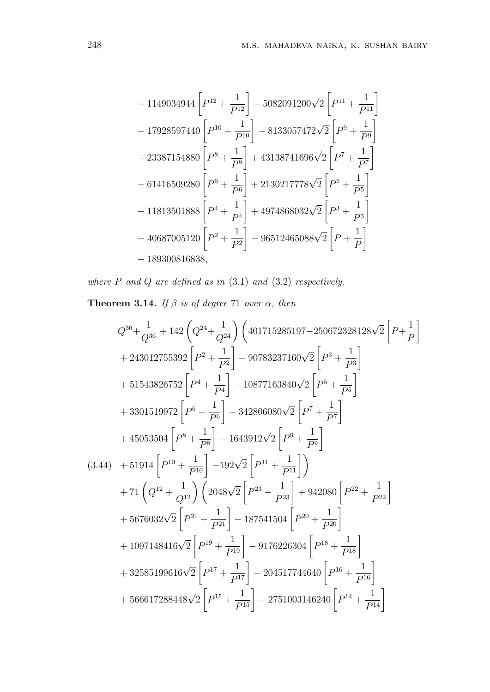$$
+ 1149034944 \left[ P^{12} + \frac{1}{P^{12}} \right] - 5082091200 \sqrt{2} \left[ P^{11} + \frac{1}{P^{11}} \right]
$$
  
- 17928597440 \left[ P^{10} + \frac{1}{P^{10}} \right] - 8133057472 \sqrt{2} \left[ P^{9} + \frac{1}{P^{9}} \right]  
+ 23387154880 \left[ P^{8} + \frac{1}{P^{8}} \right] + 43138741696 \sqrt{2} \left[ P^{7} + \frac{1}{P^{7}} \right]  
+ 61416509280 \left[ P^{6} + \frac{1}{P^{6}} \right] + 2130217778 \sqrt{2} \left[ P^{5} + \frac{1}{P^{5}} \right]  
+ 11813501888 \left[ P^{4} + \frac{1}{P^{4}} \right] + 4974868032 \sqrt{2} \left[ P^{3} + \frac{1}{P^{3}} \right]  
- 40687005120 \left[ P^{2} + \frac{1}{P^{2}} \right] - 96512465088 \sqrt{2} \left[ P + \frac{1}{P} \right]  
- 189300816838,

*where P and Q are defined as in* (3.1) *and* (3.2) *respectively.*

**Theorem 3.14.** *If*  $\beta$  *is of degree* 71 *over*  $\alpha$ *, then* 

$$
Q^{36} + \frac{1}{Q^{36}} + 142 \left(Q^{24} + \frac{1}{Q^{24}}\right) \left(401715285197 - 250672328128\sqrt{2}\left[P + \frac{1}{P}\right]\right)
$$
  
+ 243012755392  $\left[P^2 + \frac{1}{P^2}\right] - 90783237160\sqrt{2}\left[P^3 + \frac{1}{P^3}\right]$   
+ 51543826752  $\left[P^4 + \frac{1}{P^4}\right] - 10877163840\sqrt{2}\left[P^5 + \frac{1}{P^5}\right]$   
+ 3301519972  $\left[P^6 + \frac{1}{P^6}\right] - 342806080\sqrt{2}\left[P^7 + \frac{1}{P^7}\right]$   
+ 45053504  $\left[P^8 + \frac{1}{P^8}\right] - 1643912\sqrt{2}\left[P^9 + \frac{1}{P^9}\right]$   
(3.44) + 51914  $\left[P^{10} + \frac{1}{P^{10}}\right] - 192\sqrt{2}\left[P^{11} + \frac{1}{P^{11}}\right]\right)$   
+ 71  $\left(Q^{12} + \frac{1}{Q^{12}}\right) \left(2048\sqrt{2}\left[P^{23} + \frac{1}{P^{23}}\right] + 942080\left[P^{22} + \frac{1}{P^{22}}\right]$   
+ 5676032 $\sqrt{2}\left[P^{21} + \frac{1}{P^{21}}\right] - 187541504\left[P^{20} + \frac{1}{P^{20}}\right]$   
+ 1097148416 $\sqrt{2}\left[P^{19} + \frac{1}{P^{19}}\right] - 9176226304\left[P^{18} + \frac{1}{P^{18}}\right]$   
+ 32585199616 $\sqrt{2}\left[P^{17} + \frac{1}{P^{17}}\right] - 204517744640\left[P^{16} + \frac{1}{P^{16}}\right]$   
+ 56661728844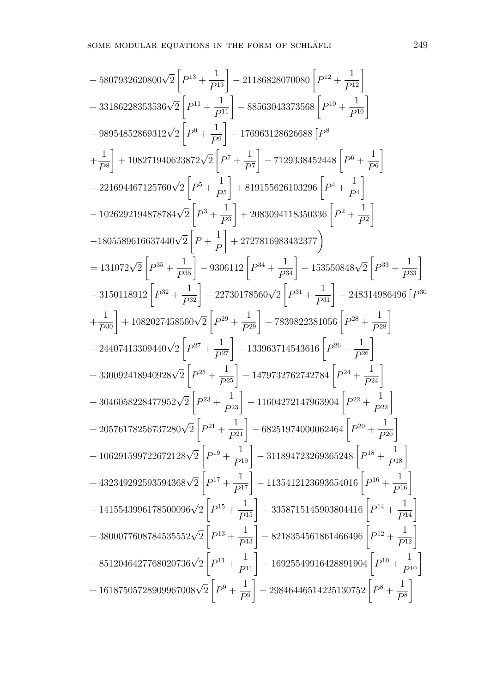+ 5807932620800
$$
\sqrt{2}
$$
  $\left[P^{13} + \frac{1}{P^{13}}\right]$  - 21186828070080  $\left[P^{12} + \frac{1}{P^{12}}\right]$   
+ 33186228353536 $\sqrt{2}$   $\left[P^{11} + \frac{1}{P^{11}}\right]$  - 85563043373568  $\left[P^{10} + \frac{1}{P^{10}}\right]$   
+ 98954852869312 $\sqrt{2}$   $\left[P^{9} + \frac{1}{P^{9}}\right]$  - 176963128626688  $\left[P^{8}\right]$   
+  $\frac{1}{P^{8}}$   $\right]$  + 108271940623872 $\sqrt{2}$   $\left[P^{7} + \frac{1}{P^{7}}\right]$  - 7129338452448  $\left[P^{6} + \frac{1}{P^{6}}\right]$   
- 221694467125760 $\sqrt{2}$   $\left[P^{5} + \frac{1}{P^{5}}\right]$  + 819155626103296  $\left[P^{4} + \frac{1}{P^{4}}\right]$   
- 1026292194878784 $\sqrt{2}$   $\left[P^{3} + \frac{1}{P^{3}}\right]$  + 2083094118350336  $\left[P^{2} + \frac{1}{P^{2}}\right]$   
- 1805589616637440 $\sqrt{2}$   $\left[P + \frac{1}{P}\right]$  + 2727816983432377  $\right)$   
= 131072 $\sqrt{2}$   $\left[P^{33} + \frac{1}{P^{35}}\right]$  - 9306112  $\left[P^{34} + \frac{1}{P^{34}}\right]$  + 153550848 $\sqrt{2}$   $\left[P^{33} + \frac{1}{P^{33}}\right]$   
- 3150118912  $\left[P^{23}$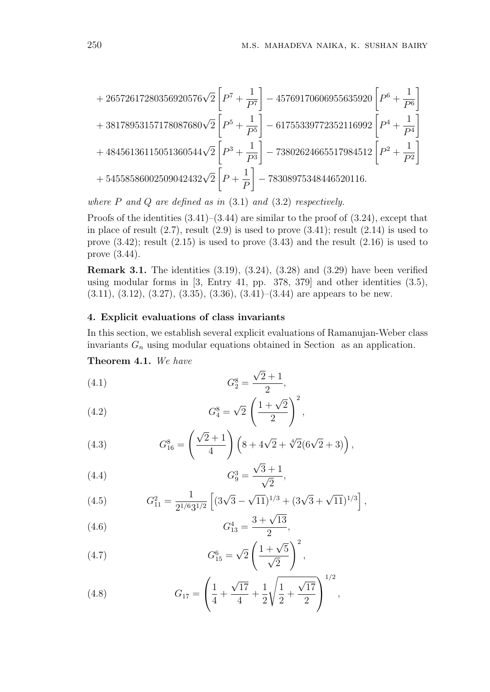$$
+26572617280356920576\sqrt{2}\left[P^{7}+\frac{1}{P^{7}}\right]-45769170606955635920\left[P^{6}+\frac{1}{P^{6}}\right] +38178953157178087680\sqrt{2}\left[P^{5}+\frac{1}{P^{5}}\right]-61755339772352116992\left[P^{4}+\frac{1}{P^{4}}\right] +48456136115051360544\sqrt{2}\left[P^{3}+\frac{1}{P^{3}}\right]-73802624665517984512\left[P^{2}+\frac{1}{P^{2}}\right] +54558586002509042432\sqrt{2}\left[P+\frac{1}{P}\right]-78308975348446520116.
$$

*where P and Q are defined as in* (3.1) *and* (3.2) *respectively.*

Proofs of the identities  $(3.41)$ – $(3.44)$  are similar to the proof of  $(3.24)$ , except that in place of result  $(2.7)$ , result  $(2.9)$  is used to prove  $(3.41)$ ; result  $(2.14)$  is used to prove  $(3.42)$ ; result  $(2.15)$  is used to prove  $(3.43)$  and the result  $(2.16)$  is used to prove (3.44).

**Remark 3.1.** The identities (3.19), (3.24), (3.28) and (3.29) have been verified using modular forms in [3, Entry 41, pp. 378, 379] and other identities (3.5),  $(3.11), (3.12), (3.27), (3.35), (3.36), (3.41)$  are appears to be new.

## **4. Explicit evaluations of class invariants**

In this section, we establish several explicit evaluations of Ramanujan-Weber class invariants *G<sup>n</sup>* using modular equations obtained in Section as an application.

**Theorem 4.1.** *We have*

(4.1) 
$$
G_2^8 = \frac{\sqrt{2} + 1}{2},
$$

(4.2) 
$$
G_4^8 = \sqrt{2} \left( \frac{1 + \sqrt{2}}{2} \right)^2,
$$

(4.3) 
$$
G_{16}^{8} = \left(\frac{\sqrt{2}+1}{4}\right) \left(8 + 4\sqrt{2} + \sqrt[4]{2}(6\sqrt{2}+3)\right),
$$

(4.4) 
$$
G_9^3 = \frac{\sqrt{3}+1}{\sqrt{2}},
$$

(4.5) 
$$
G_{11}^2 = \frac{1}{2^{1/6}3^{1/2}} \left[ (3\sqrt{3} - \sqrt{11})^{1/3} + (3\sqrt{3} + \sqrt{11})^{1/3} \right],
$$

(4.6) 
$$
G_{13}^4 = \frac{3 + \sqrt{13}}{2},
$$

(4.7) 
$$
G_{15}^6 = \sqrt{2} \left( \frac{1 + \sqrt{5}}{\sqrt{2}} \right)^2,
$$

(4.8) 
$$
G_{17} = \left(\frac{1}{4} + \frac{\sqrt{17}}{4} + \frac{1}{2}\sqrt{\frac{1}{2} + \frac{\sqrt{17}}{2}}\right)^{1/2},
$$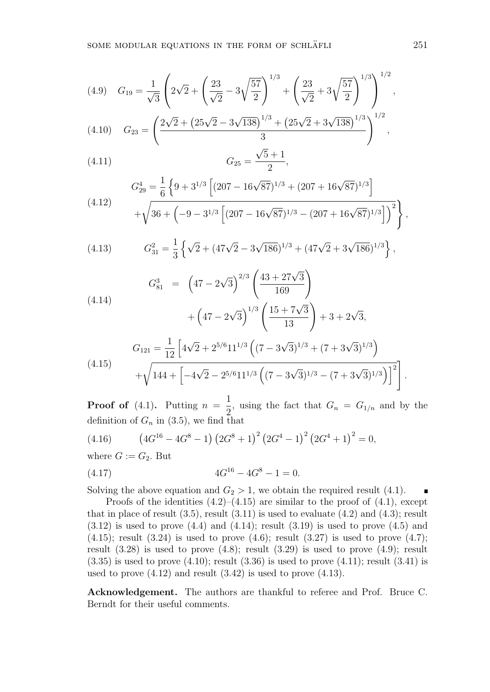$$
(4.9) \quad G_{19} = \frac{1}{\sqrt{3}} \left( 2\sqrt{2} + \left( \frac{23}{\sqrt{2}} - 3\sqrt{\frac{57}{2}} \right)^{1/3} + \left( \frac{23}{\sqrt{2}} + 3\sqrt{\frac{57}{2}} \right)^{1/3} \right)^{1/2},
$$

$$
(4.10) \tG_{23} = \left(\frac{2\sqrt{2} + (25\sqrt{2} - 3\sqrt{138})^{1/3} + (25\sqrt{2} + 3\sqrt{138})^{1/3}}{3}\right)^{1/2},
$$

$$
(4.11) \tG_{25} = \frac{\sqrt{5}+1}{2},
$$

$$
G_{29}^{4} = \frac{1}{6} \left\{ 9 + 3^{1/3} \left[ (207 - 16\sqrt{87})^{1/3} + (207 + 16\sqrt{87})^{1/3} \right] + \sqrt{36 + \left( -9 - 3^{1/3} \left[ (207 - 16\sqrt{87})^{1/3} - (207 + 16\sqrt{87})^{1/3} \right] \right)^{2}} \right\}
$$

(4.13) 
$$
G_{31}^2 = \frac{1}{3} \left\{ \sqrt{2} + (47\sqrt{2} - 3\sqrt{186})^{1/3} + (47\sqrt{2} + 3\sqrt{186})^{1/3} \right\},
$$

(4.14)  
\n
$$
G_{81}^3 = \left(47 - 2\sqrt{3}\right)^{2/3} \left(\frac{43 + 27\sqrt{3}}{169}\right) + \left(47 - 2\sqrt{3}\right)^{1/3} \left(\frac{15 + 7\sqrt{3}}{13}\right) + 3 + 2\sqrt{3},
$$

(4.15) 
$$
G_{121} = \frac{1}{12} \left[ 4\sqrt{2} + 2^{5/6} 11^{1/3} \left( (7 - 3\sqrt{3})^{1/3} + (7 + 3\sqrt{3})^{1/3} \right) + \sqrt{144 + \left[ -4\sqrt{2} - 2^{5/6} 11^{1/3} \left( (7 - 3\sqrt{3})^{1/3} - (7 + 3\sqrt{3})^{1/3} \right) \right]^2} \right]
$$

**Proof of**  $(4.1)$ . Putting  $n =$ 1  $\frac{1}{2}$ , using the fact that  $G_n = G_{1/n}$  and by the definition of  $G_n$  in (3.5), we find that

(4.16) 
$$
(4G^{16} - 4G^8 - 1) (2G^8 + 1)^2 (2G^4 - 1)^2 (2G^4 + 1)^2 = 0,
$$

where  $G := G_2$ . But

(4.17) 4*G* <sup>16</sup> *−* 4*G* <sup>8</sup> *−* 1 = 0*.*

Solving the above equation and  $G_2 > 1$ , we obtain the required result (4.1).

Proofs of the identities  $(4.2)$ – $(4.15)$  are similar to the proof of  $(4.1)$ , except that in place of result  $(3.5)$ , result  $(3.11)$  is used to evaluate  $(4.2)$  and  $(4.3)$ ; result  $(3.12)$  is used to prove  $(4.4)$  and  $(4.14)$ ; result  $(3.19)$  is used to prove  $(4.5)$  and  $(4.15)$ ; result  $(3.24)$  is used to prove  $(4.6)$ ; result  $(3.27)$  is used to prove  $(4.7)$ ; result  $(3.28)$  is used to prove  $(4.8)$ ; result  $(3.29)$  is used to prove  $(4.9)$ ; result  $(3.35)$  is used to prove  $(4.10)$ ; result  $(3.36)$  is used to prove  $(4.11)$ ; result  $(3.41)$  is used to prove (4.12) and result (3.42) is used to prove (4.13).

**Acknowledgement.** The authors are thankful to referee and Prof. Bruce C. Berndt for their useful comments.

*,*

*.*